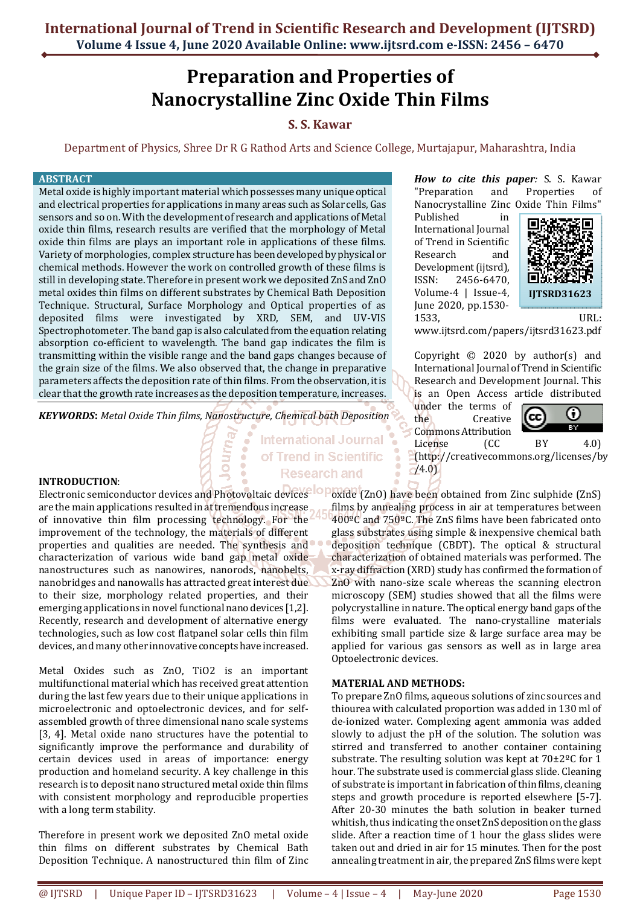# **Preparation and Properties of Nanocrystalline Zinc Oxide Thin Films**

## **S. S. Kawar**

Department of Physics, Shree Dr R G Rathod Arts and Science College, Murtajapur, Maharashtra, India

**International Journal** of Trend in Scientific **Research and** 

## **ABSTRACT**

Metal oxide is highly important material which possesses many unique optical and electrical properties for applications in many areas such as Solar cells, Gas sensors and so on. With the development of research and applications of Metal oxide thin films, research results are verified that the morphology of Metal oxide thin films are plays an important role in applications of these films. Variety of morphologies, complex structure has been developed by physical or chemical methods. However the work on controlled growth of these films is still in developing state. Therefore in present work we deposited ZnS and ZnO metal oxides thin films on different substrates by Chemical Bath Deposition Technique. Structural, Surface Morphology and Optical properties of as deposited films were investigated by XRD, SEM, and UV-VIS Spectrophotometer. The band gap is also calculated from the equation relating absorption co-efficient to wavelength. The band gap indicates the film is transmitting within the visible range and the band gaps changes because of the grain size of the films. We also observed that, the change in preparative parameters affects the deposition rate of thin films. From the observation, it is clear that the growth rate increases as the deposition temperature, increases.

*KEYWORDS***:** *Metal Oxide Thin films, Nanostructure, Chemical bath Deposition* 

## **INTRODUCTION**:

Electronic semiconductor devices and Photovoltaic devices<sup>-10</sup> Poxide (ZnO) have been obtained from Zinc sulphide (ZnS) are the main applications resulted in at tremendous increase of innovative thin film processing technology. For the improvement of the technology, the materials of different properties and qualities are needed. The synthesis and characterization of various wide band gap metal oxide nanostructures such as nanowires, nanorods, nanobelts, nanobridges and nanowalls has attracted great interest due to their size, morphology related properties, and their emerging applications in novel functional nano devices [1,2]. Recently, research and development of alternative energy technologies, such as low cost flatpanel solar cells thin film devices, and many other innovative concepts have increased.

Metal Oxides such as ZnO, TiO2 is an important multifunctional material which has received great attention during the last few years due to their unique applications in microelectronic and optoelectronic devices, and for selfassembled growth of three dimensional nano scale systems [3, 4]. Metal oxide nano structures have the potential to significantly improve the performance and durability of certain devices used in areas of importance: energy production and homeland security. A key challenge in this research is to deposit nano structured metal oxide thin films with consistent morphology and reproducible properties with a long term stability.

Therefore in present work we deposited ZnO metal oxide thin films on different substrates by Chemical Bath Deposition Technique. A nanostructured thin film of Zinc

*How to cite this paper:* S. S. Kawar "Preparation and Properties of Nanocrystalline Zinc Oxide Thin Films"

Published in International Journal of Trend in Scientific Research and Development (ijtsrd), ISSN: 2456-6470, Volume-4 | Issue-4, June 2020, pp.1530- 1533, URL:



www.ijtsrd.com/papers/ijtsrd31623.pdf

Copyright  $\odot$  2020 by author(s) and International Journal of Trend in Scientific Research and Development Journal. This is an Open Access article distributed

under the terms of the Creative Commons Attribution



License (CC BY 4.0) (http://creativecommons.org/licenses/by  $-74.0$ 

films by annealing process in air at temperatures between 400ºC and 750ºC. The ZnS films have been fabricated onto glass substrates using simple & inexpensive chemical bath deposition technique (CBDT). The optical & structural characterization of obtained materials was performed. The x-ray diffraction (XRD) study has confirmed the formation of ZnO with nano-size scale whereas the scanning electron microscopy (SEM) studies showed that all the films were polycrystalline in nature. The optical energy band gaps of the films were evaluated. The nano-crystalline materials exhibiting small particle size & large surface area may be applied for various gas sensors as well as in large area Optoelectronic devices.

## **MATERIAL AND METHODS:**

To prepare ZnO films, aqueous solutions of zinc sources and thiourea with calculated proportion was added in 130 ml of de-ionized water. Complexing agent ammonia was added slowly to adjust the pH of the solution. The solution was stirred and transferred to another container containing substrate. The resulting solution was kept at 70±2ºC for 1 hour. The substrate used is commercial glass slide. Cleaning of substrate is important in fabrication of thin films, cleaning steps and growth procedure is reported elsewhere [5-7]. After 20-30 minutes the bath solution in beaker turned whitish, thus indicating the onset ZnS deposition on the glass slide. After a reaction time of 1 hour the glass slides were taken out and dried in air for 15 minutes. Then for the post annealing treatment in air, the prepared ZnS films were kept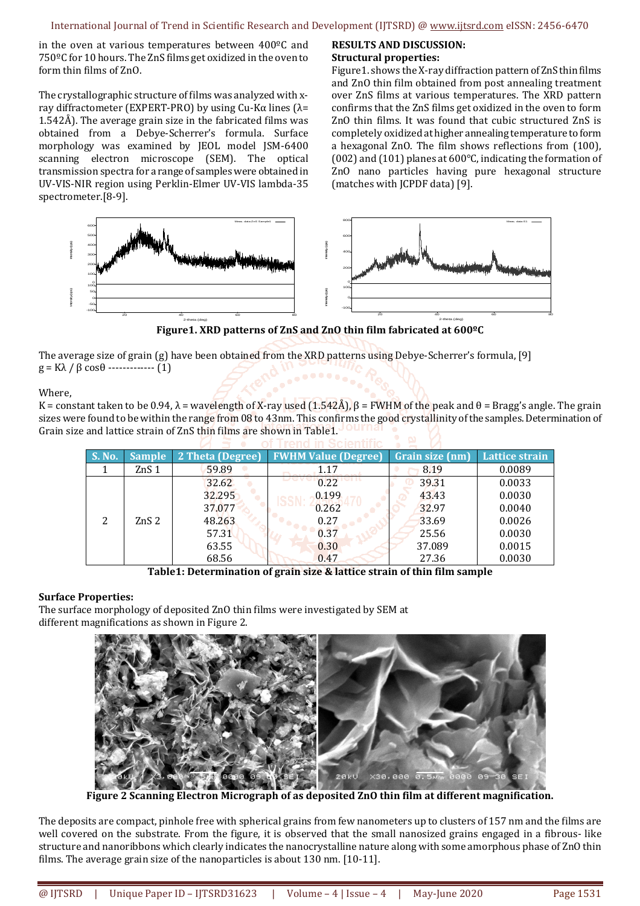in the oven at various temperatures between 400ºC and 750ºC for 10 hours. The ZnS films get oxidized in the oven to form thin films of ZnO.

The crystallographic structure of films was analyzed with xray diffractometer (EXPERT-PRO) by using Cu-Kα lines (λ= 1.542Å). The average grain size in the fabricated films was obtained from a Debye-Scherrer's formula. Surface morphology was examined by JEOL model JSM-6400 scanning electron microscope (SEM). The optical transmission spectra for a range of samples were obtained in UV-VIS-NIR region using Perklin-Elmer UV-VIS lambda-35 spectrometer.[8-9].

#### **RESULTS AND DISCUSSION: Structural properties:**

Figure1. shows the X-ray diffraction pattern of ZnS thin films and ZnO thin film obtained from post annealing treatment over ZnS films at various temperatures. The XRD pattern confirms that the ZnS films get oxidized in the oven to form ZnO thin films. It was found that cubic structured ZnS is completely oxidized at higher annealing temperature to form a hexagonal ZnO. The film shows reflections from (100), (002) and (101) planes at 600°C, indicating the formation of ZnO nano particles having pure hexagonal structure (matches with JCPDF data) [9].



**Figure1. XRD patterns of ZnS and ZnO thin film fabricated at 600ºC** 

The average size of grain (g) have been obtained from the XRD patterns using Debye-Scherrer's formula, [9]  $g = Kλ / β cos θ$  ------------- (1)

Where,

K = constant taken to be 0.94,  $\lambda$  = wavelength of X-ray used (1.542Å),  $\beta$  = FWHM of the peak and  $\theta$  = Bragg's angle. The grain sizes were found to be within the range from 08 to 43nm. This confirms the good crystallinity of the samples. Determination of Grain size and lattice strain of ZnS thin films are shown in Table1. Our nal

| <b>S. No.</b> | <b>Sample</b>    | 2 Theta (Degree) | <b>FWHM Value (Degree)</b> | Grain size (nm) | <b>Lattice strain</b> |
|---------------|------------------|------------------|----------------------------|-----------------|-----------------------|
|               | ZnS 1            | 59.89            | 1.17                       | 8.19            | 0.0089                |
|               | ZnS <sub>2</sub> | 32.62            | 0.22                       | 39.31           | 0.0033                |
|               |                  | 32.295           | 0.199                      | 43.43           | 0.0030                |
|               |                  | 37.077           | 0.262                      | 32.97           | 0.0040                |
|               |                  | 48.263           | 0.27                       | 33.69           | 0.0026                |
|               |                  | 57.31            | 0.37                       | 25.56           | 0.0030                |
|               |                  | 63.55            | 0.30                       | 37.089          | 0.0015                |
|               |                  | 68.56            | 0.47                       | 27.36           | 0.0030                |

**Table1: Determination of grain size & lattice strain of thin film sample** 

## **Surface Properties:**

The surface morphology of deposited ZnO thin films were investigated by SEM at different magnifications as shown in Figure 2.



**Figure 2 Scanning Electron Micrograph of as deposited ZnO thin film at different magnification.** 

The deposits are compact, pinhole free with spherical grains from few nanometers up to clusters of 157 nm and the films are well covered on the substrate. From the figure, it is observed that the small nanosized grains engaged in a fibrous- like structure and nanoribbons which clearly indicates the nanocrystalline nature along with some amorphous phase of ZnO thin films. The average grain size of the nanoparticles is about 130 nm. [10-11].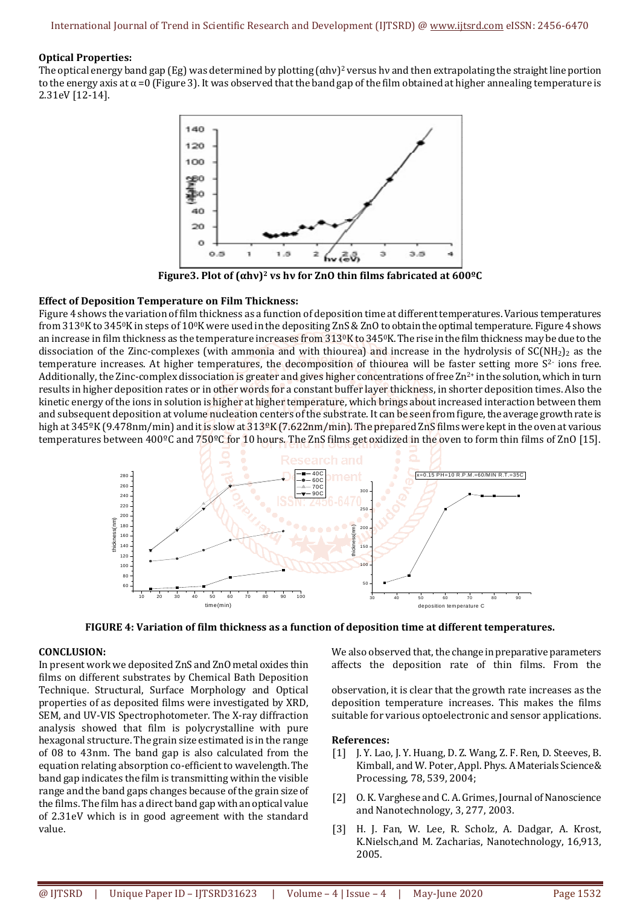## **Optical Properties:**

The optical energy band gap (Eg) was determined by plotting  $(\alpha hv)^2$  versus hv and then extrapolating the straight line portion to the energy axis at  $\alpha$  =0 (Figure 3). It was observed that the band gap of the film obtained at higher annealing temperature is 2.31eV [12-14].



**Figure3. Plot of (αhν)2 vs hν for ZnO thin films fabricated at 600ºC** 

## **Effect of Deposition Temperature on Film Thickness:**

Figure 4 shows the variation of film thickness as a function of deposition time at different temperatures. Various temperatures from 3130K to 3450K in steps of 100K were used in the depositing ZnS & ZnO to obtain the optimal temperature. Figure 4 shows an increase in film thickness as the temperature increases from  $313\sqrt{0}$ K to  $345\sqrt{0}$ K. The rise in the film thickness may be due to the dissociation of the Zinc-complexes (with ammonia and with thiourea) and increase in the hydrolysis of  $SC(NH_2)$  as the temperature increases. At higher temperatures, the decomposition of thiourea will be faster setting more  $S<sup>2</sup>$  ions free. Additionally, the Zinc-complex dissociation is greater and gives higher concentrations of free  $\mathbb{Z}^{n^2+}$  in the solution, which in turn results in higher deposition rates or in other words for a constant buffer layer thickness, in shorter deposition times. Also the kinetic energy of the ions in solution is higher at higher temperature, which brings about increased interaction between them and subsequent deposition at volume nucleation centers of the substrate. It can be seen from figure, the average growth rate is high at 345°K (9.478nm/min) and it is slow at 313°K (7.622nm/min). The prepared ZnS films were kept in the oven at various temperatures between 400ºC and 750ºC for 10 hours. The ZnS films get oxidized in the oven to form thin films of ZnO [15].





### **CONCLUSION:**

In present work we deposited ZnS and ZnO metal oxides thin films on different substrates by Chemical Bath Deposition Technique. Structural, Surface Morphology and Optical properties of as deposited films were investigated by XRD, SEM, and UV-VIS Spectrophotometer. The X-ray diffraction analysis showed that film is polycrystalline with pure hexagonal structure. The grain size estimated is in the range of 08 to 43nm. The band gap is also calculated from the equation relating absorption co-efficient to wavelength. The band gap indicates the film is transmitting within the visible range and the band gaps changes because of the grain size of the films. The film has a direct band gap with an optical value of 2.31eV which is in good agreement with the standard value.

We also observed that, the change in preparative parameters affects the deposition rate of thin films. From the

observation, it is clear that the growth rate increases as the deposition temperature increases. This makes the films suitable for various optoelectronic and sensor applications.

## **References:**

- [1] J. Y. Lao, J. Y. Huang, D. Z. Wang, Z. F. Ren, D. Steeves, B. Kimball, and W. Poter, Appl. Phys. A Materials Science& Processing, 78, 539, 2004;
- [2] O. K. Varghese and C. A. Grimes, Journal of Nanoscience and Nanotechnology, 3, 277, 2003.
- [3] H. J. Fan, W. Lee, R. Scholz, A. Dadgar, A. Krost, K.Nielsch,and M. Zacharias, Nanotechnology, 16,913, 2005.